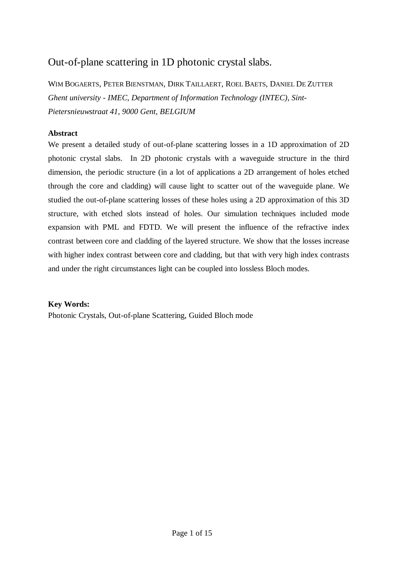# Out-of-plane scattering in 1D photonic crystal slabs.

WIM BOGAERTS, PETER BIENSTMAN, DIRK TAILLAERT, ROEL BAETS, DANIEL DE ZUTTER *Ghent university - IMEC, Department of Information Technology (INTEC), Sint-Pietersnieuwstraat 41, 9000 Gent, BELGIUM*

### **Abstract**

We present a detailed study of out-of-plane scattering losses in a 1D approximation of 2D photonic crystal slabs. In 2D photonic crystals with a waveguide structure in the third dimension, the periodic structure (in a lot of applications a 2D arrangement of holes etched through the core and cladding) will cause light to scatter out of the waveguide plane. We studied the out-of-plane scattering losses of these holes using a 2D approximation of this 3D structure, with etched slots instead of holes. Our simulation techniques included mode expansion with PML and FDTD. We will present the influence of the refractive index contrast between core and cladding of the layered structure. We show that the losses increase with higher index contrast between core and cladding, but that with very high index contrasts and under the right circumstances light can be coupled into lossless Bloch modes.

### **Key Words:**

Photonic Crystals, Out-of-plane Scattering, Guided Bloch mode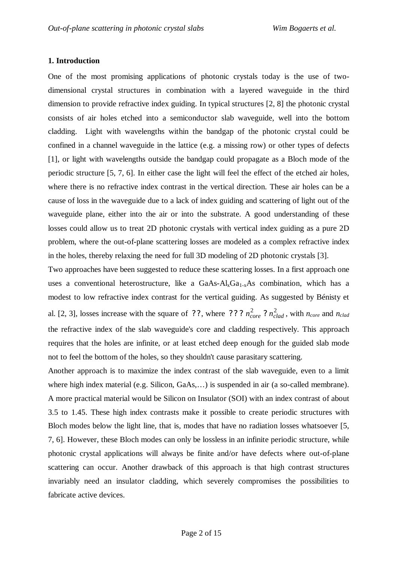### **1. Introduction**

One of the most promising applications of photonic crystals today is the use of twodimensional crystal structures in combination with a layered waveguide in the third dimension to provide refractive index guiding. In typical structures [2, 8] the photonic crystal consists of air holes etched into a semiconductor slab waveguide, well into the bottom cladding. Light with wavelengths within the bandgap of the photonic crystal could be confined in a channel waveguide in the lattice (e.g. a missing row) or other types of defects [1], or light with wavelengths outside the bandgap could propagate as a Bloch mode of the periodic structure [5, 7, 6]. In either case the light will feel the effect of the etched air holes, where there is no refractive index contrast in the vertical direction. These air holes can be a cause of loss in the waveguide due to a lack of index guiding and scattering of light out of the waveguide plane, either into the air or into the substrate. A good understanding of these losses could allow us to treat 2D photonic crystals with vertical index guiding as a pure 2D problem, where the out-of-plane scattering losses are modeled as a complex refractive index in the holes, thereby relaxing the need for full 3D modeling of 2D photonic crystals [3].

Two approaches have been suggested to reduce these scattering losses. In a first approach one uses a conventional heterostructure, like a  $GaAs-Ak<sub>x</sub>Ga<sub>1-x</sub>As$  combination, which has a modest to low refractive index contrast for the vertical guiding. As suggested by Bénisty et al. [2, 3], losses increase with the square of ??, where ???  $n_{core}^2$ ?  $n_{clad}^2$ , with  $n_{core}$  and  $n_{clad}$ the refractive index of the slab waveguide's core and cladding respectively. This approach requires that the holes are infinite, or at least etched deep enough for the guided slab mode not to feel the bottom of the holes, so they shouldn't cause parasitary scattering.

Another approach is to maximize the index contrast of the slab waveguide, even to a limit where high index material (e.g. Silicon, GaAs,...) is suspended in air (a so-called membrane). A more practical material would be Silicon on Insulator (SOI) with an index contrast of about 3.5 to 1.45. These high index contrasts make it possible to create periodic structures with Bloch modes below the light line, that is, modes that have no radiation losses whatsoever [5, 7, 6]. However, these Bloch modes can only be lossless in an infinite periodic structure, while photonic crystal applications will always be finite and/or have defects where out-of-plane scattering can occur. Another drawback of this approach is that high contrast structures invariably need an insulator cladding, which severely compromises the possibilities to fabricate active devices.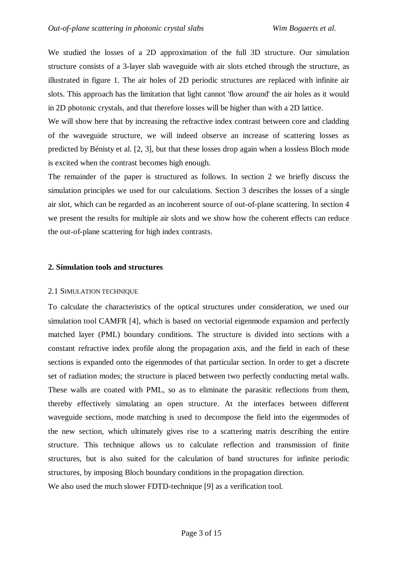We studied the losses of a 2D approximation of the full 3D structure. Our simulation structure consists of a 3-layer slab waveguide with air slots etched through the structure, as illustrated in figure 1. The air holes of 2D periodic structures are replaced with infinite air slots. This approach has the limitation that light cannot 'flow around' the air holes as it would in 2D photonic crystals, and that therefore losses will be higher than with a 2D lattice.

We will show here that by increasing the refractive index contrast between core and cladding of the waveguide structure, we will indeed observe an increase of scattering losses as predicted by Bénisty et al. [2, 3], but that these losses drop again when a lossless Bloch mode is excited when the contrast becomes high enough.

The remainder of the paper is structured as follows. In section 2 we briefly discuss the simulation principles we used for our calculations. Section 3 describes the losses of a single air slot, which can be regarded as an incoherent source of out-of-plane scattering. In section 4 we present the results for multiple air slots and we show how the coherent effects can reduce the out-of-plane scattering for high index contrasts.

#### **2. Simulation tools and structures**

#### 2.1 SIMULATION TECHNIQUE

To calculate the characteristics of the optical structures under consideration, we used our simulation tool CAMFR [4], which is based on vectorial eigenmode expansion and perfectly matched layer (PML) boundary conditions. The structure is divided into sections with a constant refractive index profile along the propagation axis, and the field in each of these sections is expanded onto the eigenmodes of that particular section. In order to get a discrete set of radiation modes; the structure is placed between two perfectly conducting metal walls. These walls are coated with PML, so as to eliminate the parasitic reflections from them, thereby effectively simulating an open structure. At the interfaces between different waveguide sections, mode matching is used to decompose the field into the eigenmodes of the new section, which ultimately gives rise to a scattering matrix describing the entire structure. This technique allows us to calculate reflection and transmission of finite structures, but is also suited for the calculation of band structures for infinite periodic structures, by imposing Bloch boundary conditions in the propagation direction.

We also used the much slower FDTD-technique [9] as a verification tool.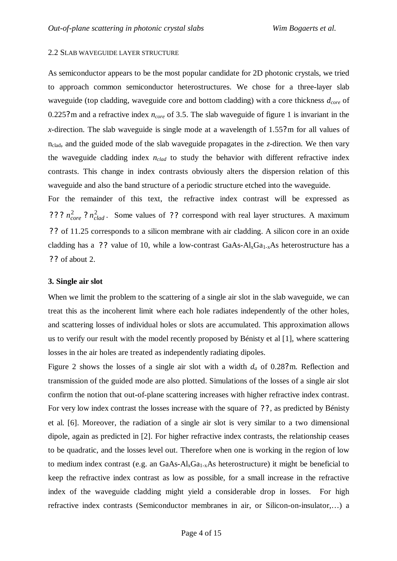#### 2.2 SLAB WAVEGUIDE LAYER STRUCTURE

As semiconductor appears to be the most popular candidate for 2D photonic crystals, we tried to approach common semiconductor heterostructures. We chose for a three-layer slab waveguide (top cladding, waveguide core and bottom cladding) with a core thickness *dcore* of 0.225? m and a refractive index *ncore* of 3.5. The slab waveguide of figure 1 is invariant in the *x*-direction. The slab waveguide is single mode at a wavelength of 1.55? m for all values of nclad, and the guided mode of the slab waveguide propagates in the *z*-direction. We then vary the waveguide cladding index *nclad* to study the behavior with different refractive index contrasts. This change in index contrasts obviously alters the dispersion relation of this waveguide and also the band structure of a periodic structure etched into the waveguide.

For the remainder of this text, the refractive index contrast will be expressed as ???  $n_{core}^2$ ?  $n_{clad}^2$ . Some values of ?? correspond with real layer structures. A maximum ? ? of 11.25 corresponds to a silicon membrane with air cladding. A silicon core in an oxide cladding has a ?? value of 10, while a low-contrast  $GaAs-Al_xGa_{1-x}As$  heterostructure has a ? ? of about 2.

#### **3. Single air slot**

When we limit the problem to the scattering of a single air slot in the slab waveguide, we can treat this as the incoherent limit where each hole radiates independently of the other holes, and scattering losses of individual holes or slots are accumulated. This approximation allows us to verify our result with the model recently proposed by Bénisty et al [1], where scattering losses in the air holes are treated as independently radiating dipoles.

Figure 2 shows the losses of a single air slot with a width *da* of 0.28? m. Reflection and transmission of the guided mode are also plotted. Simulations of the losses of a single air slot confirm the notion that out-of-plane scattering increases with higher refractive index contrast. For very low index contrast the losses increase with the square of ??, as predicted by Bénisty et al. [6]. Moreover, the radiation of a single air slot is very similar to a two dimensional dipole, again as predicted in [2]. For higher refractive index contrasts, the relationship ceases to be quadratic, and the losses level out. Therefore when one is working in the region of low to medium index contrast (e.g. an GaAs- $Al_xGa_{1-x}As$  heterostructure) it might be beneficial to keep the refractive index contrast as low as possible, for a small increase in the refractive index of the waveguide cladding might yield a considerable drop in losses. For high refractive index contrasts (Semiconductor membranes in air, or Silicon-on-insulator,… ) a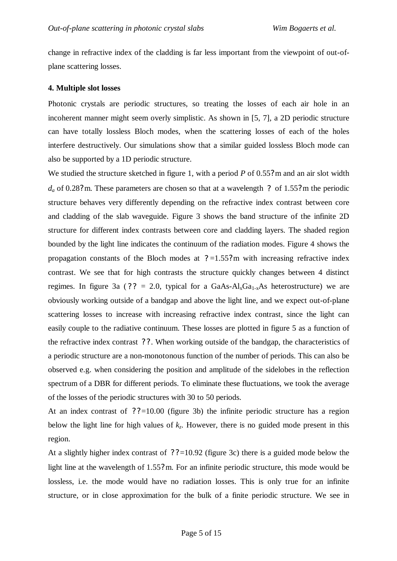change in refractive index of the cladding is far less important from the viewpoint of out-ofplane scattering losses.

#### **4. Multiple slot losses**

Photonic crystals are periodic structures, so treating the losses of each air hole in an incoherent manner might seem overly simplistic. As shown in [5, 7], a 2D periodic structure can have totally lossless Bloch modes, when the scattering losses of each of the holes interfere destructively. Our simulations show that a similar guided lossless Bloch mode can also be supported by a 1D periodic structure.

We studied the structure sketched in figure 1, with a period *P* of 0.55? m and an air slot width  $d_a$  of 0.28? m. These parameters are chosen so that at a wavelength ? of 1.55? m the periodic structure behaves very differently depending on the refractive index contrast between core and cladding of the slab waveguide. Figure 3 shows the band structure of the infinite 2D structure for different index contrasts between core and cladding layers. The shaded region bounded by the light line indicates the continuum of the radiation modes. Figure 4 shows the propagation constants of the Bloch modes at  $? = 1.55$ ? m with increasing refractive index contrast. We see that for high contrasts the structure quickly changes between 4 distinct regimes. In figure 3a (?? = 2.0, typical for a GaAs- $Al_xGa_{1-x}As$  heterostructure) we are obviously working outside of a bandgap and above the light line, and we expect out-of-plane scattering losses to increase with increasing refractive index contrast, since the light can easily couple to the radiative continuum. These losses are plotted in figure 5 as a function of the refractive index contrast ? ? . When working outside of the bandgap, the characteristics of a periodic structure are a non-monotonous function of the number of periods. This can also be observed e.g. when considering the position and amplitude of the sidelobes in the reflection spectrum of a DBR for different periods. To eliminate these fluctuations, we took the average of the losses of the periodic structures with 30 to 50 periods.

At an index contrast of  $?$  ?=10.00 (figure 3b) the infinite periodic structure has a region below the light line for high values of  $k<sub>z</sub>$ . However, there is no guided mode present in this region.

At a slightly higher index contrast of  $?$  ? =10.92 (figure 3c) there is a guided mode below the light line at the wavelength of 1.55? m. For an infinite periodic structure, this mode would be lossless, i.e. the mode would have no radiation losses. This is only true for an infinite structure, or in close approximation for the bulk of a finite periodic structure. We see in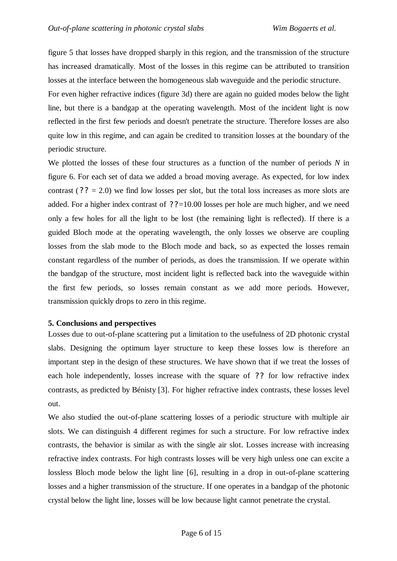figure 5 that losses have dropped sharply in this region, and the transmission of the structure has increased dramatically. Most of the losses in this regime can be attributed to transition losses at the interface between the homogeneous slab waveguide and the periodic structure.

For even higher refractive indices (figure 3d) there are again no guided modes below the light line, but there is a bandgap at the operating wavelength. Most of the incident light is now reflected in the first few periods and doesn't penetrate the structure. Therefore losses are also quite low in this regime, and can again be credited to transition losses at the boundary of the periodic structure.

We plotted the losses of these four structures as a function of the number of periods *N* in figure 6. For each set of data we added a broad moving average. As expected, for low index contrast ( $?$  ? = 2.0) we find low losses per slot, but the total loss increases as more slots are added. For a higher index contrast of  $? ? = 10.00$  losses per hole are much higher, and we need only a few holes for all the light to be lost (the remaining light is reflected). If there is a guided Bloch mode at the operating wavelength, the only losses we observe are coupling losses from the slab mode to the Bloch mode and back, so as expected the losses remain constant regardless of the number of periods, as does the transmission. If we operate within the bandgap of the structure, most incident light is reflected back into the waveguide within the first few periods, so losses remain constant as we add more periods. However, transmission quickly drops to zero in this regime.

#### **5. Conclusions and perspectives**

Losses due to out-of-plane scattering put a limitation to the usefulness of 2D photonic crystal slabs. Designing the optimum layer structure to keep these losses low is therefore an important step in the design of these structures. We have shown that if we treat the losses of each hole independently, losses increase with the square of ?? for low refractive index contrasts, as predicted by Bénisty [3]. For higher refractive index contrasts, these losses level out.

We also studied the out-of-plane scattering losses of a periodic structure with multiple air slots. We can distinguish 4 different regimes for such a structure. For low refractive index contrasts, the behavior is similar as with the single air slot. Losses increase with increasing refractive index contrasts. For high contrasts losses will be very high unless one can excite a lossless Bloch mode below the light line [6], resulting in a drop in out-of-plane scattering losses and a higher transmission of the structure. If one operates in a bandgap of the photonic crystal below the light line, losses will be low because light cannot penetrate the crystal.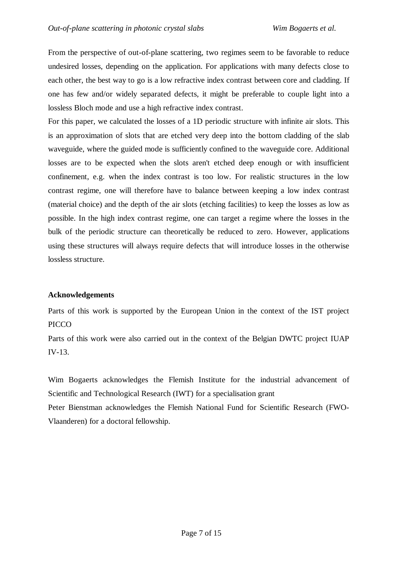From the perspective of out-of-plane scattering, two regimes seem to be favorable to reduce undesired losses, depending on the application. For applications with many defects close to each other, the best way to go is a low refractive index contrast between core and cladding. If one has few and/or widely separated defects, it might be preferable to couple light into a lossless Bloch mode and use a high refractive index contrast.

For this paper, we calculated the losses of a 1D periodic structure with infinite air slots. This is an approximation of slots that are etched very deep into the bottom cladding of the slab waveguide, where the guided mode is sufficiently confined to the waveguide core. Additional losses are to be expected when the slots aren't etched deep enough or with insufficient confinement, e.g. when the index contrast is too low. For realistic structures in the low contrast regime, one will therefore have to balance between keeping a low index contrast (material choice) and the depth of the air slots (etching facilities) to keep the losses as low as possible. In the high index contrast regime, one can target a regime where the losses in the bulk of the periodic structure can theoretically be reduced to zero. However, applications using these structures will always require defects that will introduce losses in the otherwise lossless structure.

### **Acknowledgements**

Parts of this work is supported by the European Union in the context of the IST project PICCO

Parts of this work were also carried out in the context of the Belgian DWTC project IUAP IV-13.

Wim Bogaerts acknowledges the Flemish Institute for the industrial advancement of Scientific and Technological Research (IWT) for a specialisation grant

Peter Bienstman acknowledges the Flemish National Fund for Scientific Research (FWO-Vlaanderen) for a doctoral fellowship.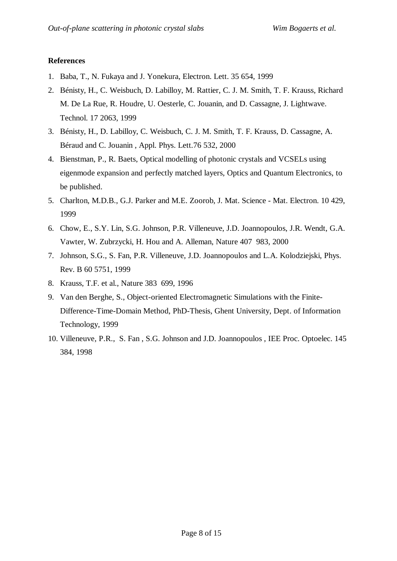### **References**

- 1. Baba, T., N. Fukaya and J. Yonekura, Electron. Lett. 35 654, 1999
- 2. Bénisty, H., C. Weisbuch, D. Labilloy, M. Rattier, C. J. M. Smith, T. F. Krauss, Richard M. De La Rue, R. Houdre, U. Oesterle, C. Jouanin, and D. Cassagne, J. Lightwave. Technol. 17 2063, 1999
- 3. Bénisty, H., D. Labilloy, C. Weisbuch, C. J. M. Smith, T. F. Krauss, D. Cassagne, A. Béraud and C. Jouanin , Appl. Phys. Lett.76 532, 2000
- 4. Bienstman, P., R. Baets, Optical modelling of photonic crystals and VCSELs using eigenmode expansion and perfectly matched layers, Optics and Quantum Electronics, to be published.
- 5. Charlton, M.D.B., G.J. Parker and M.E. Zoorob, J. Mat. Science Mat. Electron. 10 429, 1999
- 6. Chow, E., S.Y. Lin, S.G. Johnson, P.R. Villeneuve, J.D. Joannopoulos, J.R. Wendt, G.A. Vawter, W. Zubrzycki, H. Hou and A. Alleman, Nature 407 983, 2000
- 7. Johnson, S.G., S. Fan, P.R. Villeneuve, J.D. Joannopoulos and L.A. Kolodziejski, Phys. Rev. B 60 5751, 1999
- 8. Krauss, T.F. et al., Nature 383 699, 1996
- 9. Van den Berghe, S., Object-oriented Electromagnetic Simulations with the Finite-Difference-Time-Domain Method, PhD-Thesis, Ghent University, Dept. of Information Technology, 1999
- 10. Villeneuve, P.R., S. Fan , S.G. Johnson and J.D. Joannopoulos , IEE Proc. Optoelec. 145 384, 1998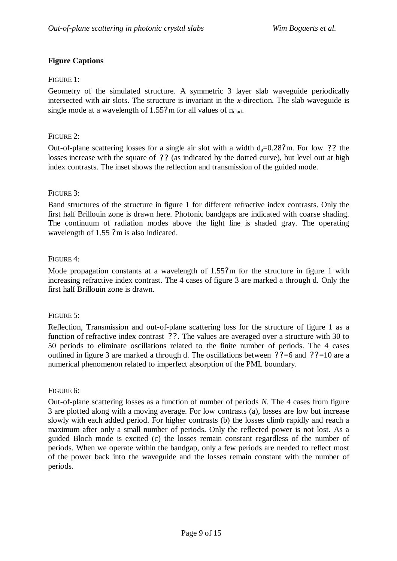### **Figure Captions**

### FIGURE 1:

Geometry of the simulated structure. A symmetric 3 layer slab waveguide periodically intersected with air slots. The structure is invariant in the *x*-direction. The slab waveguide is single mode at a wavelength of  $1.55$ ? m for all values of  $n_{\text{clad}}$ .

### FIGURE 2:

Out-of-plane scattering losses for a single air slot with a width  $d_a=0.28$ ? m. For low ?? the losses increase with the square of ?? (as indicated by the dotted curve), but level out at high index contrasts. The inset shows the reflection and transmission of the guided mode.

### FIGURE 3:

Band structures of the structure in figure 1 for different refractive index contrasts. Only the first half Brillouin zone is drawn here. Photonic bandgaps are indicated with coarse shading. The continuum of radiation modes above the light line is shaded gray. The operating wavelength of 1.55 ? m is also indicated.

### FIGURE 4:

Mode propagation constants at a wavelength of 1.55? m for the structure in figure 1 with increasing refractive index contrast. The 4 cases of figure 3 are marked a through d. Only the first half Brillouin zone is drawn.

#### FIGURE 5:

Reflection, Transmission and out-of-plane scattering loss for the structure of figure 1 as a function of refractive index contrast ? ? . The values are averaged over a structure with 30 to 50 periods to eliminate oscillations related to the finite number of periods. The 4 cases outlined in figure 3 are marked a through d. The oscillations between  $?$  ?=6 and  $?$  ?=10 are a numerical phenomenon related to imperfect absorption of the PML boundary.

#### FIGURE 6:

Out-of-plane scattering losses as a function of number of periods *N*. The 4 cases from figure 3 are plotted along with a moving average. For low contrasts (a), losses are low but increase slowly with each added period. For higher contrasts (b) the losses climb rapidly and reach a maximum after only a small number of periods. Only the reflected power is not lost. As a guided Bloch mode is excited (c) the losses remain constant regardless of the number of periods. When we operate within the bandgap, only a few periods are needed to reflect most of the power back into the waveguide and the losses remain constant with the number of periods.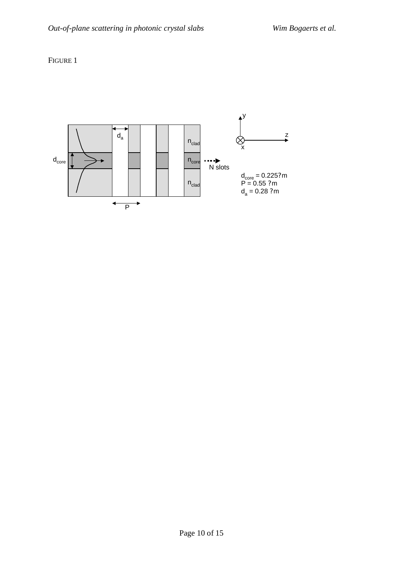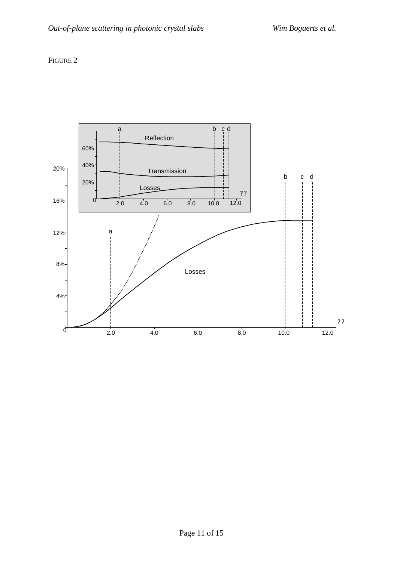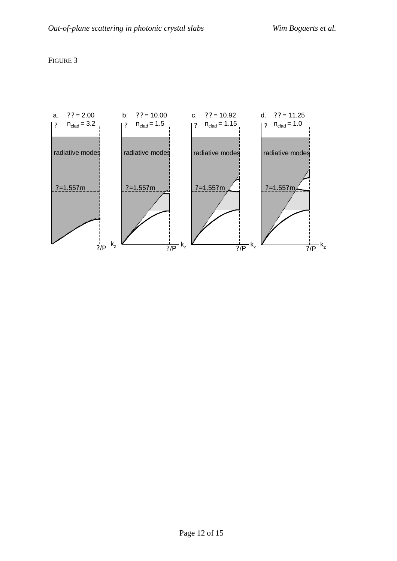

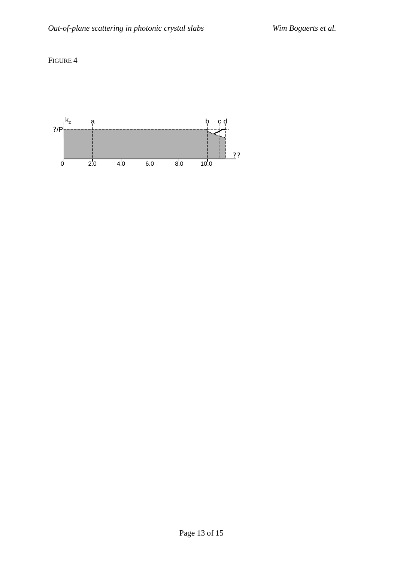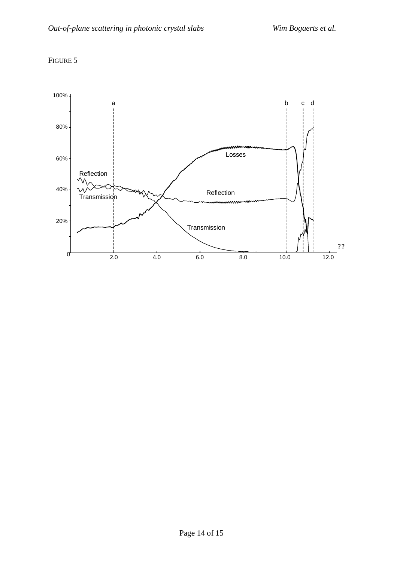